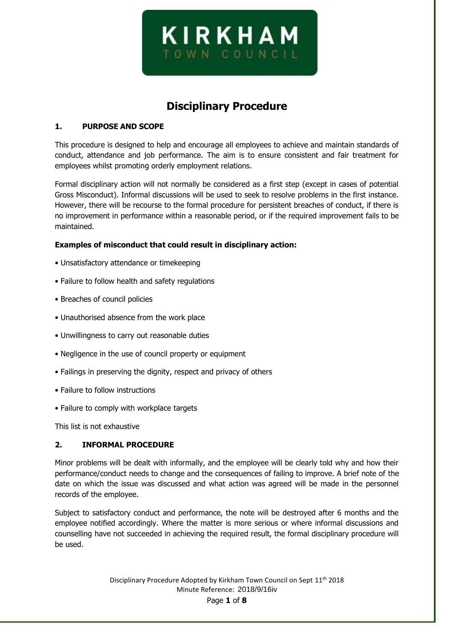

# **Disciplinary Procedure**

## **1. PURPOSE AND SCOPE**

This procedure is designed to help and encourage all employees to achieve and maintain standards of conduct, attendance and job performance. The aim is to ensure consistent and fair treatment for employees whilst promoting orderly employment relations.

Formal disciplinary action will not normally be considered as a first step (except in cases of potential Gross Misconduct). Informal discussions will be used to seek to resolve problems in the first instance. However, there will be recourse to the formal procedure for persistent breaches of conduct, if there is no improvement in performance within a reasonable period, or if the required improvement fails to be maintained.

### **Examples of misconduct that could result in disciplinary action:**

- Unsatisfactory attendance or timekeeping
- Failure to follow health and safety regulations
- Breaches of council policies
- Unauthorised absence from the work place
- Unwillingness to carry out reasonable duties
- Negligence in the use of council property or equipment
- Failings in preserving the dignity, respect and privacy of others
- Failure to follow instructions
- Failure to comply with workplace targets

This list is not exhaustive

#### **2. INFORMAL PROCEDURE**

Minor problems will be dealt with informally, and the employee will be clearly told why and how their performance/conduct needs to change and the consequences of failing to improve. A brief note of the date on which the issue was discussed and what action was agreed will be made in the personnel records of the employee.

Subject to satisfactory conduct and performance, the note will be destroyed after 6 months and the employee notified accordingly. Where the matter is more serious or where informal discussions and counselling have not succeeded in achieving the required result, the formal disciplinary procedure will be used.

> Disciplinary Procedure Adopted by Kirkham Town Council on Sept 11<sup>th</sup> 2018 Minute Reference: 2018/9/16iv Page **1** of **8**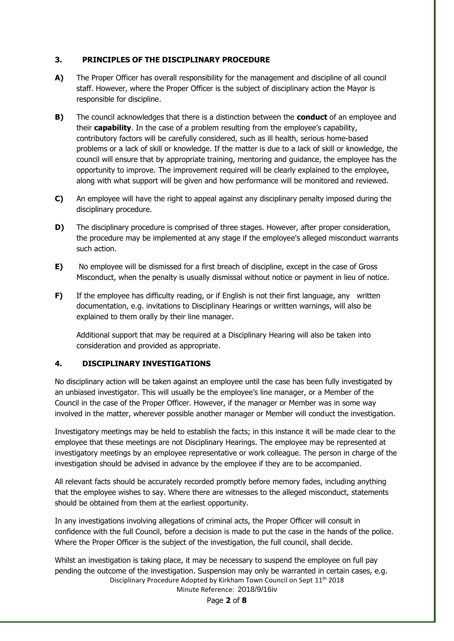### **3. PRINCIPLES OF THE DISCIPLINARY PROCEDURE**

- **A)** The Proper Officer has overall responsibility for the management and discipline of all council staff. However, where the Proper Officer is the subject of disciplinary action the Mayor is responsible for discipline.
- **B)** The council acknowledges that there is a distinction between the **conduct** of an employee and their **capability**. In the case of a problem resulting from the employee's capability, contributory factors will be carefully considered, such as ill health, serious home‐based problems or a lack of skill or knowledge. If the matter is due to a lack of skill or knowledge, the council will ensure that by appropriate training, mentoring and guidance, the employee has the opportunity to improve. The improvement required will be clearly explained to the employee, along with what support will be given and how performance will be monitored and reviewed.
- **C)** An employee will have the right to appeal against any disciplinary penalty imposed during the disciplinary procedure.
- **D)** The disciplinary procedure is comprised of three stages. However, after proper consideration, the procedure may be implemented at any stage if the employee's alleged misconduct warrants such action.
- **E)** No employee will be dismissed for a first breach of discipline, except in the case of Gross Misconduct, when the penalty is usually dismissal without notice or payment in lieu of notice.
- **F)** If the employee has difficulty reading, or if English is not their first language, any written documentation, e.g. invitations to Disciplinary Hearings or written warnings, will also be explained to them orally by their line manager.

Additional support that may be required at a Disciplinary Hearing will also be taken into consideration and provided as appropriate.

## **4. DISCIPLINARY INVESTIGATIONS**

No disciplinary action will be taken against an employee until the case has been fully investigated by an unbiased investigator. This will usually be the employee's line manager, or a Member of the Council in the case of the Proper Officer. However, if the manager or Member was in some way involved in the matter, wherever possible another manager or Member will conduct the investigation.

Investigatory meetings may be held to establish the facts; in this instance it will be made clear to the employee that these meetings are not Disciplinary Hearings. The employee may be represented at investigatory meetings by an employee representative or work colleague. The person in charge of the investigation should be advised in advance by the employee if they are to be accompanied.

All relevant facts should be accurately recorded promptly before memory fades, including anything that the employee wishes to say. Where there are witnesses to the alleged misconduct, statements should be obtained from them at the earliest opportunity.

In any investigations involving allegations of criminal acts, the Proper Officer will consult in confidence with the full Council, before a decision is made to put the case in the hands of the police. Where the Proper Officer is the subject of the investigation, the full council, shall decide.

Disciplinary Procedure Adopted by Kirkham Town Council on Sept 11<sup>th</sup> 2018 Whilst an investigation is taking place, it may be necessary to suspend the employee on full pay pending the outcome of the investigation. Suspension may only be warranted in certain cases, e.g.

Minute Reference: 2018/9/16iv

Page **2** of **8**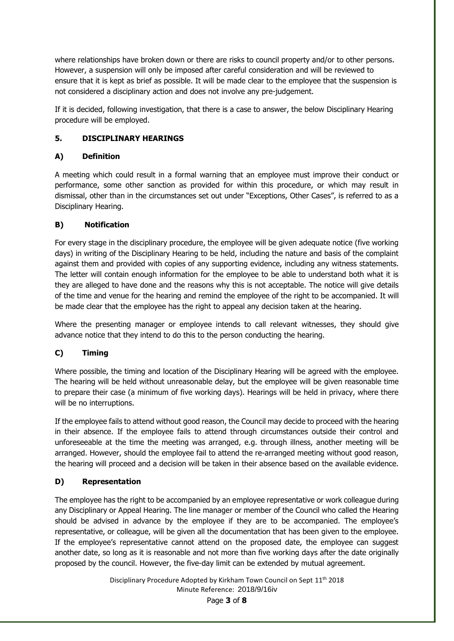where relationships have broken down or there are risks to council property and/or to other persons. However, a suspension will only be imposed after careful consideration and will be reviewed to ensure that it is kept as brief as possible. It will be made clear to the employee that the suspension is not considered a disciplinary action and does not involve any pre‐judgement.

If it is decided, following investigation, that there is a case to answer, the below Disciplinary Hearing procedure will be employed.

# **5. DISCIPLINARY HEARINGS**

# **A) Definition**

A meeting which could result in a formal warning that an employee must improve their conduct or performance, some other sanction as provided for within this procedure, or which may result in dismissal, other than in the circumstances set out under "Exceptions, Other Cases", is referred to as a Disciplinary Hearing.

# **B) Notification**

For every stage in the disciplinary procedure, the employee will be given adequate notice (five working days) in writing of the Disciplinary Hearing to be held, including the nature and basis of the complaint against them and provided with copies of any supporting evidence, including any witness statements. The letter will contain enough information for the employee to be able to understand both what it is they are alleged to have done and the reasons why this is not acceptable. The notice will give details of the time and venue for the hearing and remind the employee of the right to be accompanied. It will be made clear that the employee has the right to appeal any decision taken at the hearing.

Where the presenting manager or employee intends to call relevant witnesses, they should give advance notice that they intend to do this to the person conducting the hearing.

# **C) Timing**

Where possible, the timing and location of the Disciplinary Hearing will be agreed with the employee. The hearing will be held without unreasonable delay, but the employee will be given reasonable time to prepare their case (a minimum of five working days). Hearings will be held in privacy, where there will be no interruptions.

If the employee fails to attend without good reason, the Council may decide to proceed with the hearing in their absence. If the employee fails to attend through circumstances outside their control and unforeseeable at the time the meeting was arranged, e.g. through illness, another meeting will be arranged. However, should the employee fail to attend the re-arranged meeting without good reason, the hearing will proceed and a decision will be taken in their absence based on the available evidence.

## **D) Representation**

The employee has the right to be accompanied by an employee representative or work colleague during any Disciplinary or Appeal Hearing. The line manager or member of the Council who called the Hearing should be advised in advance by the employee if they are to be accompanied. The employee's representative, or colleague, will be given all the documentation that has been given to the employee. If the employee's representative cannot attend on the proposed date, the employee can suggest another date, so long as it is reasonable and not more than five working days after the date originally proposed by the council. However, the five‐day limit can be extended by mutual agreement.

> Disciplinary Procedure Adopted by Kirkham Town Council on Sept 11<sup>th</sup> 2018 Minute Reference: 2018/9/16iv Page **3** of **8**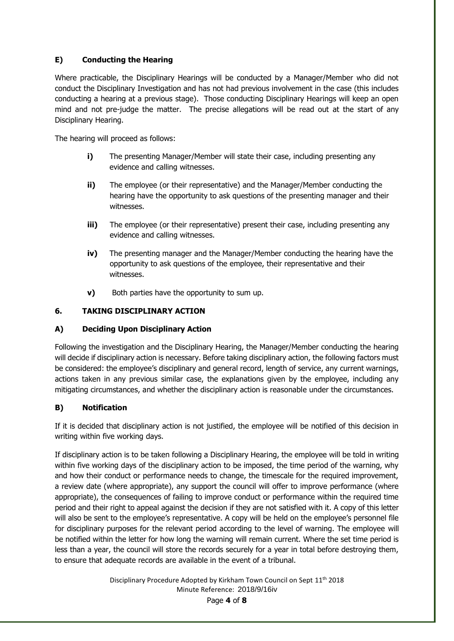# **E) Conducting the Hearing**

Where practicable, the Disciplinary Hearings will be conducted by a Manager/Member who did not conduct the Disciplinary Investigation and has not had previous involvement in the case (this includes conducting a hearing at a previous stage). Those conducting Disciplinary Hearings will keep an open mind and not pre‐judge the matter. The precise allegations will be read out at the start of any Disciplinary Hearing.

The hearing will proceed as follows:

- **i)** The presenting Manager/Member will state their case, including presenting any evidence and calling witnesses.
- **ii)** The employee (or their representative) and the Manager/Member conducting the hearing have the opportunity to ask questions of the presenting manager and their witnesses.
- **iii)** The employee (or their representative) present their case, including presenting any evidence and calling witnesses.
- **iv)** The presenting manager and the Manager/Member conducting the hearing have the opportunity to ask questions of the employee, their representative and their witnesses.
- **v)** Both parties have the opportunity to sum up.

# **6. TAKING DISCIPLINARY ACTION**

## **A) Deciding Upon Disciplinary Action**

Following the investigation and the Disciplinary Hearing, the Manager/Member conducting the hearing will decide if disciplinary action is necessary. Before taking disciplinary action, the following factors must be considered: the employee's disciplinary and general record, length of service, any current warnings, actions taken in any previous similar case, the explanations given by the employee, including any mitigating circumstances, and whether the disciplinary action is reasonable under the circumstances.

## **B) Notification**

If it is decided that disciplinary action is not justified, the employee will be notified of this decision in writing within five working days.

If disciplinary action is to be taken following a Disciplinary Hearing, the employee will be told in writing within five working days of the disciplinary action to be imposed, the time period of the warning, why and how their conduct or performance needs to change, the timescale for the required improvement, a review date (where appropriate), any support the council will offer to improve performance (where appropriate), the consequences of failing to improve conduct or performance within the required time period and their right to appeal against the decision if they are not satisfied with it. A copy of this letter will also be sent to the employee's representative. A copy will be held on the employee's personnel file for disciplinary purposes for the relevant period according to the level of warning. The employee will be notified within the letter for how long the warning will remain current. Where the set time period is less than a year, the council will store the records securely for a year in total before destroying them, to ensure that adequate records are available in the event of a tribunal.

> Disciplinary Procedure Adopted by Kirkham Town Council on Sept 11<sup>th</sup> 2018 Minute Reference: 2018/9/16iv

Page **4** of **8**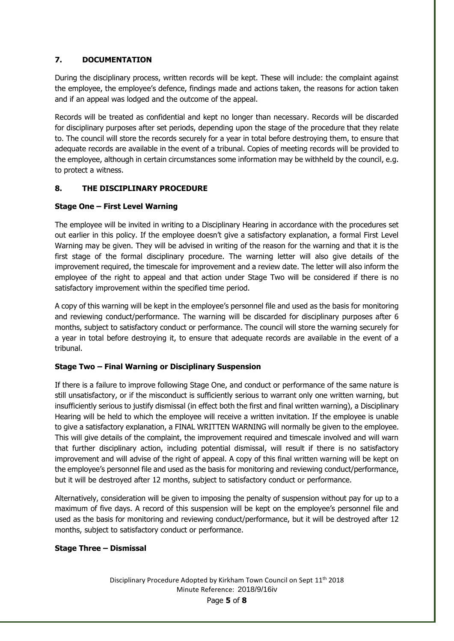# **7. DOCUMENTATION**

During the disciplinary process, written records will be kept. These will include: the complaint against the employee, the employee's defence, findings made and actions taken, the reasons for action taken and if an appeal was lodged and the outcome of the appeal.

Records will be treated as confidential and kept no longer than necessary. Records will be discarded for disciplinary purposes after set periods, depending upon the stage of the procedure that they relate to. The council will store the records securely for a year in total before destroying them, to ensure that adequate records are available in the event of a tribunal. Copies of meeting records will be provided to the employee, although in certain circumstances some information may be withheld by the council, e.g. to protect a witness.

# **8. THE DISCIPLINARY PROCEDURE**

# **Stage One – First Level Warning**

The employee will be invited in writing to a Disciplinary Hearing in accordance with the procedures set out earlier in this policy. If the employee doesn't give a satisfactory explanation, a formal First Level Warning may be given. They will be advised in writing of the reason for the warning and that it is the first stage of the formal disciplinary procedure. The warning letter will also give details of the improvement required, the timescale for improvement and a review date. The letter will also inform the employee of the right to appeal and that action under Stage Two will be considered if there is no satisfactory improvement within the specified time period.

A copy of this warning will be kept in the employee's personnel file and used as the basis for monitoring and reviewing conduct/performance. The warning will be discarded for disciplinary purposes after 6 months, subject to satisfactory conduct or performance. The council will store the warning securely for a year in total before destroying it, to ensure that adequate records are available in the event of a tribunal.

## **Stage Two – Final Warning or Disciplinary Suspension**

If there is a failure to improve following Stage One, and conduct or performance of the same nature is still unsatisfactory, or if the misconduct is sufficiently serious to warrant only one written warning, but insufficiently serious to justify dismissal (in effect both the first and final written warning), a Disciplinary Hearing will be held to which the employee will receive a written invitation. If the employee is unable to give a satisfactory explanation, a FINAL WRITTEN WARNING will normally be given to the employee. This will give details of the complaint, the improvement required and timescale involved and will warn that further disciplinary action, including potential dismissal, will result if there is no satisfactory improvement and will advise of the right of appeal. A copy of this final written warning will be kept on the employee's personnel file and used as the basis for monitoring and reviewing conduct/performance, but it will be destroyed after 12 months, subject to satisfactory conduct or performance.

Alternatively, consideration will be given to imposing the penalty of suspension without pay for up to a maximum of five days. A record of this suspension will be kept on the employee's personnel file and used as the basis for monitoring and reviewing conduct/performance, but it will be destroyed after 12 months, subject to satisfactory conduct or performance.

## **Stage Three – Dismissal**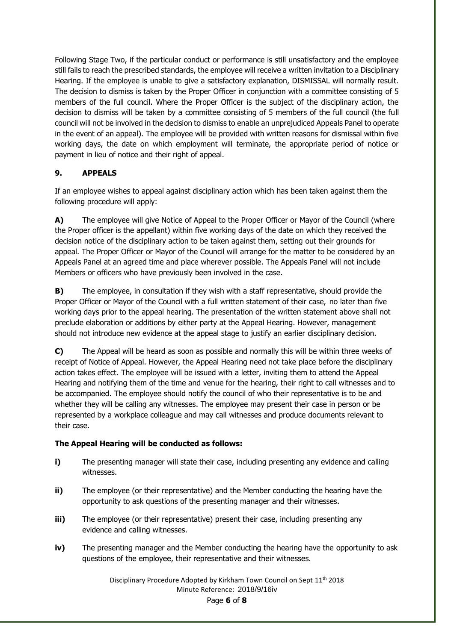Following Stage Two, if the particular conduct or performance is still unsatisfactory and the employee still fails to reach the prescribed standards, the employee will receive a written invitation to a Disciplinary Hearing. If the employee is unable to give a satisfactory explanation, DISMISSAL will normally result. The decision to dismiss is taken by the Proper Officer in conjunction with a committee consisting of 5 members of the full council. Where the Proper Officer is the subject of the disciplinary action, the decision to dismiss will be taken by a committee consisting of 5 members of the full council (the full council will not be involved in the decision to dismiss to enable an unprejudiced Appeals Panel to operate in the event of an appeal). The employee will be provided with written reasons for dismissal within five working days, the date on which employment will terminate, the appropriate period of notice or payment in lieu of notice and their right of appeal.

# **9. APPEALS**

If an employee wishes to appeal against disciplinary action which has been taken against them the following procedure will apply:

**A)** The employee will give Notice of Appeal to the Proper Officer or Mayor of the Council (where the Proper officer is the appellant) within five working days of the date on which they received the decision notice of the disciplinary action to be taken against them, setting out their grounds for appeal. The Proper Officer or Mayor of the Council will arrange for the matter to be considered by an Appeals Panel at an agreed time and place wherever possible. The Appeals Panel will not include Members or officers who have previously been involved in the case.

**B)** The employee, in consultation if they wish with a staff representative, should provide the Proper Officer or Mayor of the Council with a full written statement of their case, no later than five working days prior to the appeal hearing. The presentation of the written statement above shall not preclude elaboration or additions by either party at the Appeal Hearing. However, management should not introduce new evidence at the appeal stage to justify an earlier disciplinary decision.

**C)** The Appeal will be heard as soon as possible and normally this will be within three weeks of receipt of Notice of Appeal. However, the Appeal Hearing need not take place before the disciplinary action takes effect. The employee will be issued with a letter, inviting them to attend the Appeal Hearing and notifying them of the time and venue for the hearing, their right to call witnesses and to be accompanied. The employee should notify the council of who their representative is to be and whether they will be calling any witnesses. The employee may present their case in person or be represented by a workplace colleague and may call witnesses and produce documents relevant to their case.

# **The Appeal Hearing will be conducted as follows:**

- **i)** The presenting manager will state their case, including presenting any evidence and calling witnesses.
- **ii)** The employee (or their representative) and the Member conducting the hearing have the opportunity to ask questions of the presenting manager and their witnesses.
- **iii)** The employee (or their representative) present their case, including presenting any evidence and calling witnesses.
- **iv)** The presenting manager and the Member conducting the hearing have the opportunity to ask questions of the employee, their representative and their witnesses.

Disciplinary Procedure Adopted by Kirkham Town Council on Sept 11<sup>th</sup> 2018 Minute Reference: 2018/9/16iv Page **6** of **8**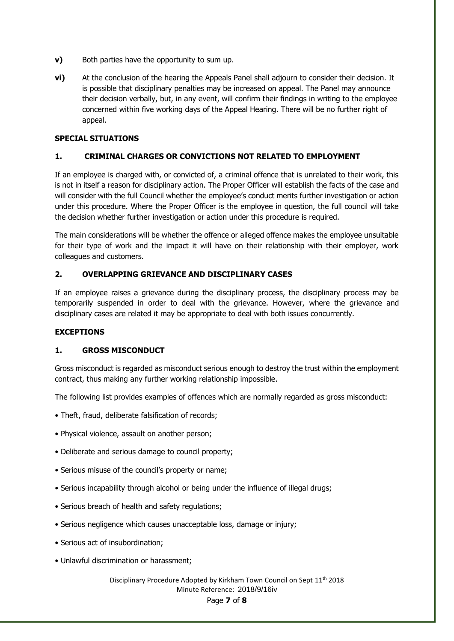- **v)** Both parties have the opportunity to sum up.
- **vi)** At the conclusion of the hearing the Appeals Panel shall adjourn to consider their decision. It is possible that disciplinary penalties may be increased on appeal. The Panel may announce their decision verbally, but, in any event, will confirm their findings in writing to the employee concerned within five working days of the Appeal Hearing. There will be no further right of appeal.

## **SPECIAL SITUATIONS**

### **1. CRIMINAL CHARGES OR CONVICTIONS NOT RELATED TO EMPLOYMENT**

If an employee is charged with, or convicted of, a criminal offence that is unrelated to their work, this is not in itself a reason for disciplinary action. The Proper Officer will establish the facts of the case and will consider with the full Council whether the employee's conduct merits further investigation or action under this procedure. Where the Proper Officer is the employee in question, the full council will take the decision whether further investigation or action under this procedure is required.

The main considerations will be whether the offence or alleged offence makes the employee unsuitable for their type of work and the impact it will have on their relationship with their employer, work colleagues and customers.

### **2. OVERLAPPING GRIEVANCE AND DISCIPLINARY CASES**

If an employee raises a grievance during the disciplinary process, the disciplinary process may be temporarily suspended in order to deal with the grievance. However, where the grievance and disciplinary cases are related it may be appropriate to deal with both issues concurrently.

#### **EXCEPTIONS**

#### **1. GROSS MISCONDUCT**

Gross misconduct is regarded as misconduct serious enough to destroy the trust within the employment contract, thus making any further working relationship impossible.

The following list provides examples of offences which are normally regarded as gross misconduct:

- Theft, fraud, deliberate falsification of records;
- Physical violence, assault on another person;
- Deliberate and serious damage to council property;
- Serious misuse of the council's property or name;
- Serious incapability through alcohol or being under the influence of illegal drugs;
- Serious breach of health and safety regulations;
- Serious negligence which causes unacceptable loss, damage or injury;
- Serious act of insubordination;
- Unlawful discrimination or harassment;

#### Disciplinary Procedure Adopted by Kirkham Town Council on Sept 11<sup>th</sup> 2018 Minute Reference: 2018/9/16iv Page **7** of **8**